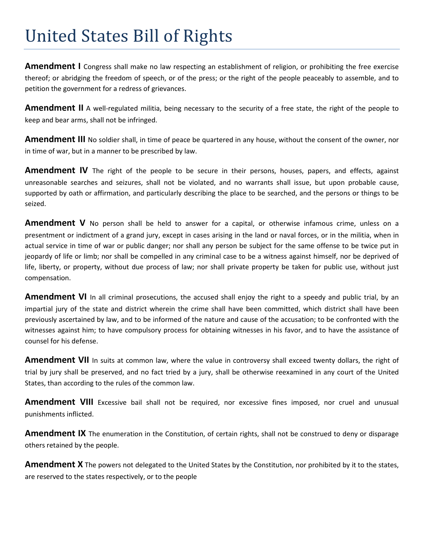## United States Bill of Rights

**Amendment I** Congress shall make no law respecting an establishment of religion, or prohibiting the free exercise thereof; or abridging the freedom of speech, or of the press; or the right of the people peaceably to assemble, and to petition the government for a redress of grievances.

**Amendment II** A well-regulated militia, being necessary to the security of a free state, the right of the people to keep and bear arms, shall not be infringed.

**Amendment III** No soldier shall, in time of peace be quartered in any house, without the consent of the owner, nor in time of war, but in a manner to be prescribed by law.

Amendment IV The right of the people to be secure in their persons, houses, papers, and effects, against unreasonable searches and seizures, shall not be violated, and no warrants shall issue, but upon probable cause, supported by oath or affirmation, and particularly describing the place to be searched, and the persons or things to be seized.

**Amendment V** No person shall be held to answer for a capital, or otherwise infamous crime, unless on a presentment or indictment of a grand jury, except in cases arising in the land or naval forces, or in the militia, when in actual service in time of war or public danger; nor shall any person be subject for the same offense to be twice put in jeopardy of life or limb; nor shall be compelled in any criminal case to be a witness against himself, nor be deprived of life, liberty, or property, without due process of law; nor shall private property be taken for public use, without just compensation.

**Amendment VI** In all criminal prosecutions, the accused shall enjoy the right to a speedy and public trial, by an impartial jury of the state and district wherein the crime shall have been committed, which district shall have been previously ascertained by law, and to be informed of the nature and cause of the accusation; to be confronted with the witnesses against him; to have compulsory process for obtaining witnesses in his favor, and to have the assistance of counsel for his defense.

**Amendment VII** In suits at common law, where the value in controversy shall exceed twenty dollars, the right of trial by jury shall be preserved, and no fact tried by a jury, shall be otherwise reexamined in any court of the United States, than according to the rules of the common law.

**Amendment VIII** Excessive bail shall not be required, nor excessive fines imposed, nor cruel and unusual punishments inflicted.

**Amendment IX** The enumeration in the Constitution, of certain rights, shall not be construed to deny or disparage others retained by the people.

**Amendment X** The powers not delegated to the United States by the Constitution, nor prohibited by it to the states, are reserved to the states respectively, or to the people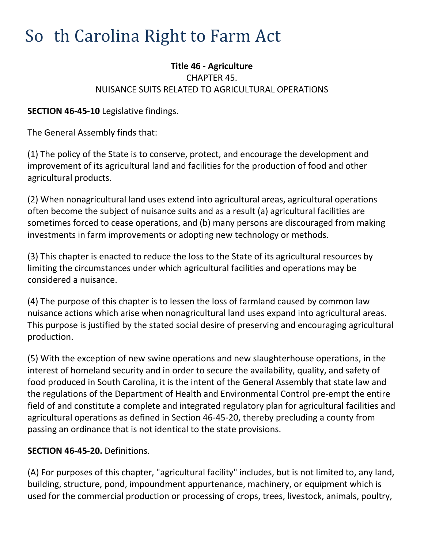## **Title 46 - Agriculture** CHAPTER 45. NUISANCE SUITS RELATED TO AGRICULTURAL OPERATIONS

**SECTION 46-45-10** Legislative findings.

The General Assembly finds that:

(1) The policy of the State is to conserve, protect, and encourage the development and improvement of its agricultural land and facilities for the production of food and other agricultural products.

(2) When nonagricultural land uses extend into agricultural areas, agricultural operations often become the subject of nuisance suits and as a result (a) agricultural facilities are sometimes forced to cease operations, and (b) many persons are discouraged from making investments in farm improvements or adopting new technology or methods.

(3) This chapter is enacted to reduce the loss to the State of its agricultural resources by limiting the circumstances under which agricultural facilities and operations may be considered a nuisance.

(4) The purpose of this chapter is to lessen the loss of farmland caused by common law nuisance actions which arise when nonagricultural land uses expand into agricultural areas. This purpose is justified by the stated social desire of preserving and encouraging agricultural production.

(5) With the exception of new swine operations and new slaughterhouse operations, in the interest of homeland security and in order to secure the availability, quality, and safety of food produced in South Carolina, it is the intent of the General Assembly that state law and the regulations of the Department of Health and Environmental Control pre-empt the entire field of and constitute a complete and integrated regulatory plan for agricultural facilities and agricultural operations as defined in Section 46-45-20, thereby precluding a county from passing an ordinance that is not identical to the state provisions.

## **SECTION 46-45-20.** Definitions.

(A) For purposes of this chapter, "agricultural facility" includes, but is not limited to, any land, building, structure, pond, impoundment appurtenance, machinery, or equipment which is used for the commercial production or processing of crops, trees, livestock, animals, poultry,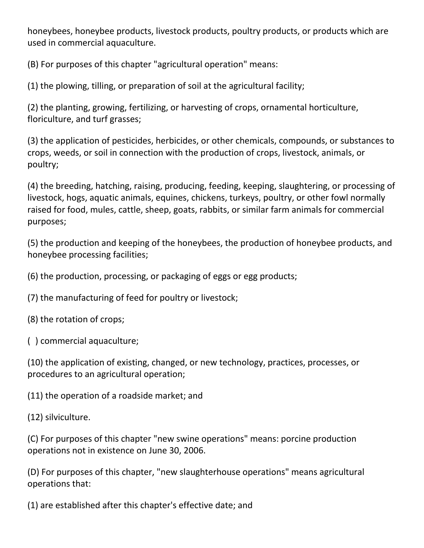honeybees, honeybee products, livestock products, poultry products, or products which are used in commercial aquaculture.

(B) For purposes of this chapter "agricultural operation" means:

(1) the plowing, tilling, or preparation of soil at the agricultural facility;

(2) the planting, growing, fertilizing, or harvesting of crops, ornamental horticulture, floriculture, and turf grasses;

(3) the application of pesticides, herbicides, or other chemicals, compounds, or substances to crops, weeds, or soil in connection with the production of crops, livestock, animals, or poultry;

(4) the breeding, hatching, raising, producing, feeding, keeping, slaughtering, or processing of livestock, hogs, aquatic animals, equines, chickens, turkeys, poultry, or other fowl normally raised for food, mules, cattle, sheep, goats, rabbits, or similar farm animals for commercial purposes;

(5) the production and keeping of the honeybees, the production of honeybee products, and honeybee processing facilities;

(6) the production, processing, or packaging of eggs or egg products;

(7) the manufacturing of feed for poultry or livestock;

(8) the rotation of crops;

(9) commercial aquaculture;

(10) the application of existing, changed, or new technology, practices, processes, or procedures to an agricultural operation;

(11) the operation of a roadside market; and

(12) silviculture.

(C) For purposes of this chapter "new swine operations" means: porcine production operations not in existence on June 30, 2006.

(D) For purposes of this chapter, "new slaughterhouse operations" means agricultural operations that:

(1) are established after this chapter's effective date; and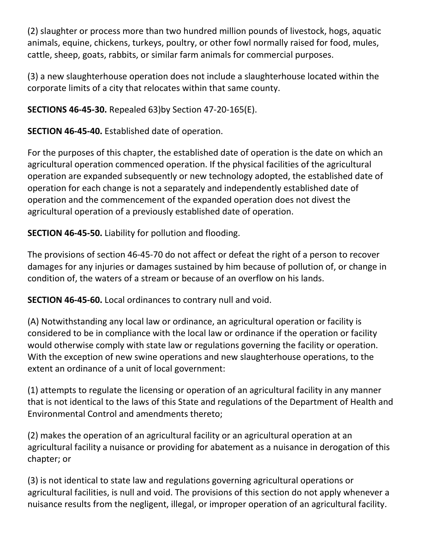(2) slaughter or process more than two hundred million pounds of livestock, hogs, aquatic animals, equine, chickens, turkeys, poultry, or other fowl normally raised for food, mules, cattle, sheep, goats, rabbits, or similar farm animals for commercial purposes.

(3) a new slaughterhouse operation does not include a slaughterhouse located within the corporate limits of a city that relocates within that same county.

**SECTIONS 46-45-30.** Repealed 63)by Section 47-20-165(E).

**SECTION 46-45-40.** Established date of operation.

For the purposes of this chapter, the established date of operation is the date on which an agricultural operation commenced operation. If the physical facilities of the agricultural operation are expanded subsequently or new technology adopted, the established date of operation for each change is not a separately and independently established date of operation and the commencement of the expanded operation does not divest the agricultural operation of a previously established date of operation.

**SECTION 46-45-50.** Liability for pollution and flooding.

The provisions of section 46-45-70 do not affect or defeat the right of a person to recover damages for any injuries or damages sustained by him because of pollution of, or change in condition of, the waters of a stream or because of an overflow on his lands.

**SECTION 46-45-60.** Local ordinances to contrary null and void.

(A) Notwithstanding any local law or ordinance, an agricultural operation or facility is considered to be in compliance with the local law or ordinance if the operation or facility would otherwise comply with state law or regulations governing the facility or operation. With the exception of new swine operations and new slaughterhouse operations, to the extent an ordinance of a unit of local government:

(1) attempts to regulate the licensing or operation of an agricultural facility in any manner that is not identical to the laws of this State and regulations of the Department of Health and Environmental Control and amendments thereto;

(2) makes the operation of an agricultural facility or an agricultural operation at an agricultural facility a nuisance or providing for abatement as a nuisance in derogation of this chapter; or

(3) is not identical to state law and regulations governing agricultural operations or agricultural facilities, is null and void. The provisions of this section do not apply whenever a nuisance results from the negligent, illegal, or improper operation of an agricultural facility.